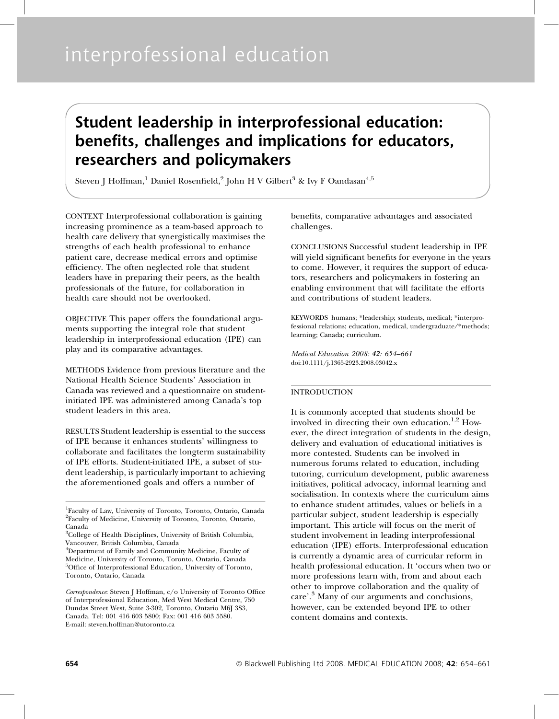# Student leadership in interprofessional education: benefits, challenges and implications for educators, researchers and policymakers

Steven J Hoffman,<sup>1</sup> Daniel Rosenfield,<sup>2</sup> John H V Gilbert<sup>3</sup> & Ivy F Oandasan<sup>4,5</sup>

CONTEXT Interprofessional collaboration is gaining increasing prominence as a team-based approach to health care delivery that synergistically maximises the strengths of each health professional to enhance patient care, decrease medical errors and optimise efficiency. The often neglected role that student leaders have in preparing their peers, as the health professionals of the future, for collaboration in health care should not be overlooked.

OBJECTIVE This paper offers the foundational arguments supporting the integral role that student leadership in interprofessional education (IPE) can play and its comparative advantages.

METHODS Evidence from previous literature and the National Health Science Students' Association in Canada was reviewed and a questionnaire on studentinitiated IPE was administered among Canada's top student leaders in this area.

RESULTS Student leadership is essential to the success of IPE because it enhances students' willingness to collaborate and facilitates the longterm sustainability of IPE efforts. Student-initiated IPE, a subset of student leadership, is particularly important to achieving the aforementioned goals and offers a number of

benefits, comparative advantages and associated challenges.

CONCLUSIONS Successful student leadership in IPE will yield significant benefits for everyone in the years to come. However, it requires the support of educators, researchers and policymakers in fostering an enabling environment that will facilitate the efforts and contributions of student leaders.

KEYWORDS humans; \*leadership; students, medical; \*interprofessional relations; education, medical, undergraduate/\*methods; learning; Canada; curriculum.

Medical Education 2008: 42: 654–661 doi:10.1111/j.1365-2923.2008.03042.x

## INTRODUCTION

It is commonly accepted that students should be involved in directing their own education.<sup>1,2</sup> However, the direct integration of students in the design, delivery and evaluation of educational initiatives is more contested. Students can be involved in numerous forums related to education, including tutoring, curriculum development, public awareness initiatives, political advocacy, informal learning and socialisation. In contexts where the curriculum aims to enhance student attitudes, values or beliefs in a particular subject, student leadership is especially important. This article will focus on the merit of student involvement in leading interprofessional education (IPE) efforts. Interprofessional education is currently a dynamic area of curricular reform in health professional education. It 'occurs when two or more professions learn with, from and about each other to improve collaboration and the quality of care'.<sup>3</sup> Many of our arguments and conclusions, however, can be extended beyond IPE to other content domains and contexts.

<sup>1</sup> Faculty of Law, University of Toronto, Toronto, Ontario, Canada <sup>2</sup>Faculty of Medicine, University of Toronto, Toronto, Ontario, Canada

<sup>3</sup> College of Health Disciplines, University of British Columbia, Vancouver, British Columbia, Canada

<sup>4</sup> Department of Family and Community Medicine, Faculty of Medicine, University of Toronto, Toronto, Ontario, Canada 5 Office of Interprofessional Education, University of Toronto, Toronto, Ontario, Canada

Correspondence: Steven J Hoffman, c/o University of Toronto Office of Interprofessional Education, Med West Medical Centre, 750 Dundas Street West, Suite 3-302, Toronto, Ontario M6J 3S3, Canada. Tel: 001 416 603 5800; Fax: 001 416 603 5580. E-mail: steven.hoffman@utoronto.ca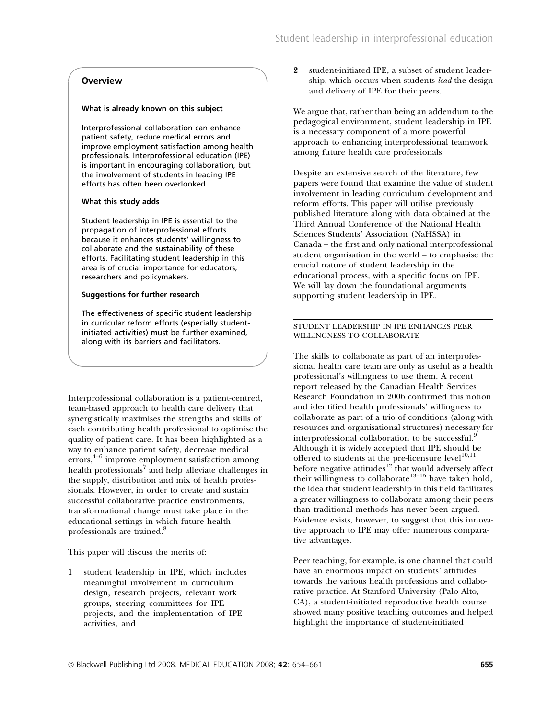# **Overview**

## What is already known on this subject

Interprofessional collaboration can enhance patient safety, reduce medical errors and improve employment satisfaction among health professionals. Interprofessional education (IPE) is important in encouraging collaboration, but the involvement of students in leading IPE efforts has often been overlooked.

## What this study adds

Student leadership in IPE is essential to the propagation of interprofessional efforts because it enhances students' willingness to collaborate and the sustainability of these efforts. Facilitating student leadership in this area is of crucial importance for educators, researchers and policymakers.

# Suggestions for further research

The effectiveness of specific student leadership in curricular reform efforts (especially studentinitiated activities) must be further examined, along with its barriers and facilitators.

Interprofessional collaboration is a patient-centred, team-based approach to health care delivery that synergistically maximises the strengths and skills of each contributing health professional to optimise the quality of patient care. It has been highlighted as a way to enhance patient safety, decrease medical errors,<sup>4–6</sup> improve employment satisfaction among health professionals<sup>7</sup> and help alleviate challenges in the supply, distribution and mix of health professionals. However, in order to create and sustain successful collaborative practice environments, transformational change must take place in the educational settings in which future health professionals are trained.8

This paper will discuss the merits of:

1 student leadership in IPE, which includes meaningful involvement in curriculum design, research projects, relevant work groups, steering committees for IPE projects, and the implementation of IPE activities, and

2 student-initiated IPE, a subset of student leadership, which occurs when students lead the design and delivery of IPE for their peers.

We argue that, rather than being an addendum to the pedagogical environment, student leadership in IPE is a necessary component of a more powerful approach to enhancing interprofessional teamwork among future health care professionals.

Despite an extensive search of the literature, few papers were found that examine the value of student involvement in leading curriculum development and reform efforts. This paper will utilise previously published literature along with data obtained at the Third Annual Conference of the National Health Sciences Students' Association (NaHSSA) in Canada – the first and only national interprofessional student organisation in the world – to emphasise the crucial nature of student leadership in the educational process, with a specific focus on IPE. We will lay down the foundational arguments supporting student leadership in IPE.

## STUDENT LEADERSHIP IN IPE ENHANCES PEER WILLINGNESS TO COLLABORATE

The skills to collaborate as part of an interprofessional health care team are only as useful as a health professional's willingness to use them. A recent report released by the Canadian Health Services Research Foundation in 2006 confirmed this notion and identified health professionals' willingness to collaborate as part of a trio of conditions (along with resources and organisational structures) necessary for interprofessional collaboration to be successful.<sup>9</sup> Although it is widely accepted that IPE should be offered to students at the pre-licensure level $10,11$ before negative attitudes<sup>12</sup> that would adversely affect their willingness to collaborate<sup>13-15</sup> have taken hold, the idea that student leadership in this field facilitates a greater willingness to collaborate among their peers than traditional methods has never been argued. Evidence exists, however, to suggest that this innovative approach to IPE may offer numerous comparative advantages.

Peer teaching, for example, is one channel that could have an enormous impact on students' attitudes towards the various health professions and collaborative practice. At Stanford University (Palo Alto, CA), a student-initiated reproductive health course showed many positive teaching outcomes and helped highlight the importance of student-initiated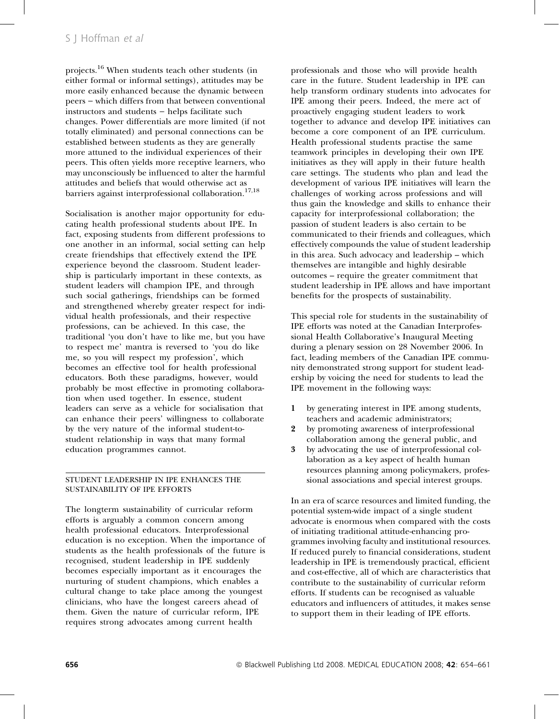projects.<sup>16</sup> When students teach other students (in either formal or informal settings), attitudes may be more easily enhanced because the dynamic between peers – which differs from that between conventional  $instructor$  and students  $-$  helps facilitate such changes. Power differentials are more limited (if not totally eliminated) and personal connections can be established between students as they are generally more attuned to the individual experiences of their peers. This often yields more receptive learners, who may unconsciously be influenced to alter the harmful attitudes and beliefs that would otherwise act as barriers against interprofessional collaboration.<sup>17,18</sup>

Socialisation is another major opportunity for educating health professional students about IPE. In fact, exposing students from different professions to one another in an informal, social setting can help create friendships that effectively extend the IPE experience beyond the classroom. Student leadership is particularly important in these contexts, as student leaders will champion IPE, and through such social gatherings, friendships can be formed and strengthened whereby greater respect for individual health professionals, and their respective professions, can be achieved. In this case, the traditional 'you don't have to like me, but you have to respect me' mantra is reversed to 'you do like me, so you will respect my profession', which becomes an effective tool for health professional educators. Both these paradigms, however, would probably be most effective in promoting collaboration when used together. In essence, student leaders can serve as a vehicle for socialisation that can enhance their peers' willingness to collaborate by the very nature of the informal student-tostudent relationship in ways that many formal education programmes cannot.

## STUDENT LEADERSHIP IN IPE ENHANCES THE SUSTAINABILITY OF IPE EFFORTS

The longterm sustainability of curricular reform efforts is arguably a common concern among health professional educators. Interprofessional education is no exception. When the importance of students as the health professionals of the future is recognised, student leadership in IPE suddenly becomes especially important as it encourages the nurturing of student champions, which enables a cultural change to take place among the youngest clinicians, who have the longest careers ahead of them. Given the nature of curricular reform, IPE requires strong advocates among current health

professionals and those who will provide health care in the future. Student leadership in IPE can help transform ordinary students into advocates for IPE among their peers. Indeed, the mere act of proactively engaging student leaders to work together to advance and develop IPE initiatives can become a core component of an IPE curriculum. Health professional students practise the same teamwork principles in developing their own IPE initiatives as they will apply in their future health care settings. The students who plan and lead the development of various IPE initiatives will learn the challenges of working across professions and will thus gain the knowledge and skills to enhance their capacity for interprofessional collaboration; the passion of student leaders is also certain to be communicated to their friends and colleagues, which effectively compounds the value of student leadership in this area. Such advocacy and leadership – which themselves are intangible and highly desirable outcomes – require the greater commitment that student leadership in IPE allows and have important benefits for the prospects of sustainability.

This special role for students in the sustainability of IPE efforts was noted at the Canadian Interprofessional Health Collaborative's Inaugural Meeting during a plenary session on 28 November 2006. In fact, leading members of the Canadian IPE community demonstrated strong support for student leadership by voicing the need for students to lead the IPE movement in the following ways:

- 1 by generating interest in IPE among students, teachers and academic administrators;
- 2 by promoting awareness of interprofessional collaboration among the general public, and
- 3 by advocating the use of interprofessional collaboration as a key aspect of health human resources planning among policymakers, professional associations and special interest groups.

In an era of scarce resources and limited funding, the potential system-wide impact of a single student advocate is enormous when compared with the costs of initiating traditional attitude-enhancing programmes involving faculty and institutional resources. If reduced purely to financial considerations, student leadership in IPE is tremendously practical, efficient and cost-effective, all of which are characteristics that contribute to the sustainability of curricular reform efforts. If students can be recognised as valuable educators and influencers of attitudes, it makes sense to support them in their leading of IPE efforts.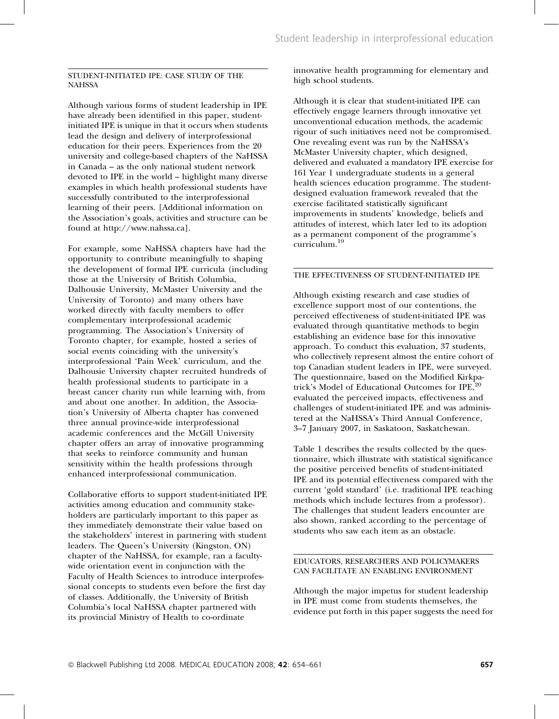## STUDENT-INITIATED IPE: CASE STUDY OF THE **NAHSSA**

Although various forms of student leadership in IPE have already been identified in this paper, studentinitiated IPE is unique in that it occurs when students lead the design and delivery of interprofessional education for their peers. Experiences from the 20 university and college-based chapters of the NaHSSA in Canada – as the only national student network devoted to IPE in the world – highlight many diverse examples in which health professional students have successfully contributed to the interprofessional learning of their peers. [Additional information on the Association's goals, activities and structure can be found at http://www.nahssa.ca].

For example, some NaHSSA chapters have had the opportunity to contribute meaningfully to shaping the development of formal IPE curricula (including those at the University of British Columbia, Dalhousie University, McMaster University and the University of Toronto) and many others have worked directly with faculty members to offer complementary interprofessional academic programming. The Association's University of Toronto chapter, for example, hosted a series of social events coinciding with the university's interprofessional 'Pain Week' curriculum, and the Dalhousie University chapter recruited hundreds of health professional students to participate in a breast cancer charity run while learning with, from and about one another. In addition, the Association's University of Alberta chapter has convened three annual province-wide interprofessional academic conferences and the McGill University chapter offers an array of innovative programming that seeks to reinforce community and human sensitivity within the health professions through enhanced interprofessional communication.

Collaborative efforts to support student-initiated IPE activities among education and community stakeholders are particularly important to this paper as they immediately demonstrate their value based on the stakeholders' interest in partnering with student leaders. The Queen's University (Kingston, ON) chapter of the NaHSSA, for example, ran a facultywide orientation event in conjunction with the Faculty of Health Sciences to introduce interprofessional concepts to students even before the first day of classes. Additionally, the University of British Columbia's local NaHSSA chapter partnered with its provincial Ministry of Health to co-ordinate

innovative health programming for elementary and high school students.

Although it is clear that student-initiated IPE can effectively engage learners through innovative yet unconventional education methods, the academic rigour of such initiatives need not be compromised. One revealing event was run by the NaHSSA's McMaster University chapter, which designed, delivered and evaluated a mandatory IPE exercise for 161 Year 1 undergraduate students in a general health sciences education programme. The studentdesigned evaluation framework revealed that the exercise facilitated statistically significant improvements in students' knowledge, beliefs and attitudes of interest, which later led to its adoption as a permanent component of the programme's curriculum.<sup>19</sup>

## THE EFFECTIVENESS OF STUDENT-INITIATED IPE

Although existing research and case studies of excellence support most of our contentions, the perceived effectiveness of student-initiated IPE was evaluated through quantitative methods to begin establishing an evidence base for this innovative approach. To conduct this evaluation, 37 students, who collectively represent almost the entire cohort of top Canadian student leaders in IPE, were surveyed. The questionnaire, based on the Modified Kirkpatrick's Model of Educational Outcomes for IPE,<sup>20</sup> evaluated the perceived impacts, effectiveness and challenges of student-initiated IPE and was administered at the NaHSSA's Third Annual Conference, 3–7 January 2007, in Saskatoon, Saskatchewan.

Table 1 describes the results collected by the questionnaire, which illustrate with statistical significance the positive perceived benefits of student-initiated IPE and its potential effectiveness compared with the current 'gold standard' (i.e. traditional IPE teaching methods which include lectures from a professor). The challenges that student leaders encounter are also shown, ranked according to the percentage of students who saw each item as an obstacle.

#### EDUCATORS, RESEARCHERS AND POLICYMAKERS CAN FACILITATE AN ENABLING ENVIRONMENT

Although the major impetus for student leadership in IPE must come from students themselves, the evidence put forth in this paper suggests the need for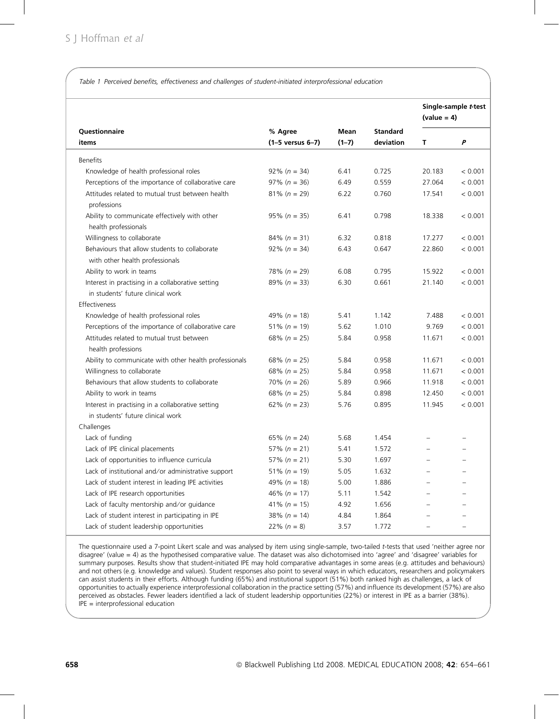Table 1 Perceived benefits, effectiveness and challenges of student-initiated interprofessional education

|                                                                                        |                  |         |                 | $(value = 4)$            | Single-sample t-test |
|----------------------------------------------------------------------------------------|------------------|---------|-----------------|--------------------------|----------------------|
| Questionnaire                                                                          | % Agree          | Mean    | <b>Standard</b> |                          |                      |
| items                                                                                  | (1-5 versus 6-7) | $(1-7)$ | deviation       | T                        | P                    |
| <b>Benefits</b>                                                                        |                  |         |                 |                          |                      |
| Knowledge of health professional roles                                                 | $92\% (n = 34)$  | 6.41    | 0.725           | 20.183                   | < 0.001              |
| Perceptions of the importance of collaborative care                                    | $97\% (n = 36)$  | 6.49    | 0.559           | 27.064                   | < 0.001              |
| Attitudes related to mutual trust between health<br>professions                        | $81\% (n = 29)$  | 6.22    | 0.760           | 17.541                   | < 0.001              |
| Ability to communicate effectively with other<br>health professionals                  | $95\% (n = 35)$  | 6.41    | 0.798           | 18.338                   | < 0.001              |
| Willingness to collaborate                                                             | $84\% (n = 31)$  | 6.32    | 0.818           | 17.277                   | < 0.001              |
| Behaviours that allow students to collaborate<br>with other health professionals       | $92\% (n = 34)$  | 6.43    | 0.647           | 22.860                   | < 0.001              |
| Ability to work in teams                                                               | $78\% (n = 29)$  | 6.08    | 0.795           | 15.922                   | < 0.001              |
| Interest in practising in a collaborative setting<br>in students' future clinical work | $89\% (n = 33)$  | 6.30    | 0.661           | 21.140                   | < 0.001              |
| Effectiveness                                                                          |                  |         |                 |                          |                      |
| Knowledge of health professional roles                                                 | 49% ( $n = 18$ ) | 5.41    | 1.142           | 7.488                    | < 0.001              |
| Perceptions of the importance of collaborative care                                    | $51\% (n = 19)$  | 5.62    | 1.010           | 9.769                    | < 0.001              |
| Attitudes related to mutual trust between<br>health professions                        | 68% ( $n = 25$ ) | 5.84    | 0.958           | 11.671                   | < 0.001              |
| Ability to communicate with other health professionals                                 | 68% ( $n = 25$ ) | 5.84    | 0.958           | 11.671                   | < 0.001              |
| Willingness to collaborate                                                             | 68% $(n = 25)$   | 5.84    | 0.958           | 11.671                   | < 0.001              |
| Behaviours that allow students to collaborate                                          | $70\% (n = 26)$  | 5.89    | 0.966           | 11.918                   | < 0.001              |
| Ability to work in teams                                                               | 68% $(n = 25)$   | 5.84    | 0.898           | 12.450                   | < 0.001              |
| Interest in practising in a collaborative setting                                      | $62\% (n = 23)$  | 5.76    | 0.895           | 11.945                   | < 0.001              |
| in students' future clinical work                                                      |                  |         |                 |                          |                      |
| Challenges                                                                             |                  |         |                 |                          |                      |
| Lack of funding                                                                        | 65% $(n = 24)$   | 5.68    | 1.454           | $\overline{\phantom{0}}$ |                      |
| Lack of IPE clinical placements                                                        | $57\% (n = 21)$  | 5.41    | 1.572           |                          |                      |
| Lack of opportunities to influence curricula                                           | $57\% (n = 21)$  | 5.30    | 1.697           |                          |                      |
| Lack of institutional and/or administrative support                                    | $51\% (n = 19)$  | 5.05    | 1.632           | $\equiv$                 | $\overline{a}$       |
| Lack of student interest in leading IPE activities                                     | 49% ( $n = 18$ ) | 5.00    | 1.886           |                          |                      |
| Lack of IPE research opportunities                                                     | 46% $(n = 17)$   | 5.11    | 1.542           |                          |                      |
| Lack of faculty mentorship and/or guidance                                             | $41\% (n = 15)$  | 4.92    | 1.656           |                          |                      |
| Lack of student interest in participating in IPE                                       | 38% $(n = 14)$   | 4.84    | 1.864           |                          |                      |
| Lack of student leadership opportunities                                               | $22\% (n = 8)$   | 3.57    | 1.772           |                          |                      |

The questionnaire used a 7-point Likert scale and was analysed by item using single-sample, two-tailed t-tests that used 'neither agree nor disagree' (value = 4) as the hypothesised comparative value. The dataset was also dichotomised into 'agree' and 'disagree' variables for summary purposes. Results show that student-initiated IPE may hold comparative advantages in some areas (e.g. attitudes and behaviours) and not others (e.g. knowledge and values). Student responses also point to several ways in which educators, researchers and policymakers can assist students in their efforts. Although funding (65%) and institutional support (51%) both ranked high as challenges, a lack of opportunities to actually experience interprofessional collaboration in the practice setting (57%) and influence its development (57%) are also perceived as obstacles. Fewer leaders identified a lack of student leadership opportunities (22%) or interest in IPE as a barrier (38%). IPE = interprofessional education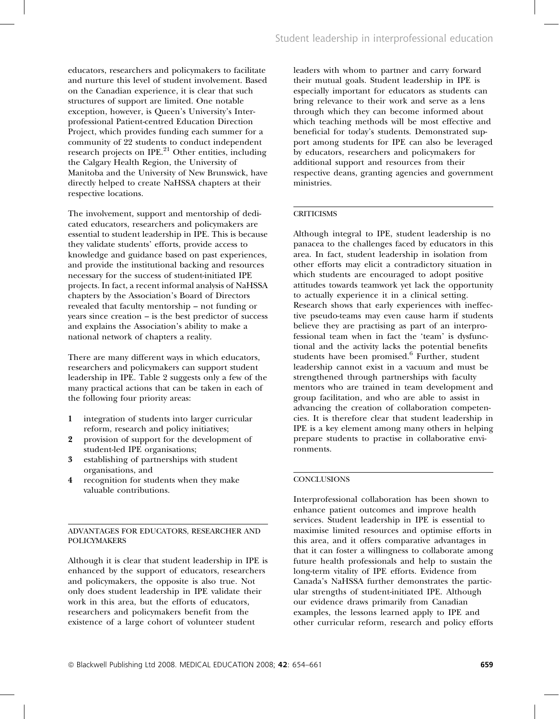educators, researchers and policymakers to facilitate and nurture this level of student involvement. Based on the Canadian experience, it is clear that such structures of support are limited. One notable exception, however, is Queen's University's Interprofessional Patient-centred Education Direction Project, which provides funding each summer for a community of 22 students to conduct independent research projects on IPE. $^{21}$  Other entities, including the Calgary Health Region, the University of Manitoba and the University of New Brunswick, have directly helped to create NaHSSA chapters at their respective locations.

The involvement, support and mentorship of dedicated educators, researchers and policymakers are essential to student leadership in IPE. This is because they validate students' efforts, provide access to knowledge and guidance based on past experiences, and provide the institutional backing and resources necessary for the success of student-initiated IPE projects. In fact, a recent informal analysis of NaHSSA chapters by the Association's Board of Directors revealed that faculty mentorship – not funding or years since creation – is the best predictor of success and explains the Association's ability to make a national network of chapters a reality.

There are many different ways in which educators, researchers and policymakers can support student leadership in IPE. Table 2 suggests only a few of the many practical actions that can be taken in each of the following four priority areas:

- 1 integration of students into larger curricular reform, research and policy initiatives;
- 2 provision of support for the development of student-led IPE organisations;
- 3 establishing of partnerships with student organisations, and
- 4 recognition for students when they make valuable contributions.

## ADVANTAGES FOR EDUCATORS, RESEARCHER AND POLICYMAKERS

Although it is clear that student leadership in IPE is enhanced by the support of educators, researchers and policymakers, the opposite is also true. Not only does student leadership in IPE validate their work in this area, but the efforts of educators, researchers and policymakers benefit from the existence of a large cohort of volunteer student

leaders with whom to partner and carry forward their mutual goals. Student leadership in IPE is especially important for educators as students can bring relevance to their work and serve as a lens through which they can become informed about which teaching methods will be most effective and beneficial for today's students. Demonstrated support among students for IPE can also be leveraged by educators, researchers and policymakers for additional support and resources from their respective deans, granting agencies and government ministries.

## CRITICISMS

Although integral to IPE, student leadership is no panacea to the challenges faced by educators in this area. In fact, student leadership in isolation from other efforts may elicit a contradictory situation in which students are encouraged to adopt positive attitudes towards teamwork yet lack the opportunity to actually experience it in a clinical setting. Research shows that early experiences with ineffective pseudo-teams may even cause harm if students believe they are practising as part of an interprofessional team when in fact the 'team' is dysfunctional and the activity lacks the potential benefits students have been promised.<sup>6</sup> Further, student leadership cannot exist in a vacuum and must be strengthened through partnerships with faculty mentors who are trained in team development and group facilitation, and who are able to assist in advancing the creation of collaboration competencies. It is therefore clear that student leadership in IPE is a key element among many others in helping prepare students to practise in collaborative environments.

## **CONCLUSIONS**

Interprofessional collaboration has been shown to enhance patient outcomes and improve health services. Student leadership in IPE is essential to maximise limited resources and optimise efforts in this area, and it offers comparative advantages in that it can foster a willingness to collaborate among future health professionals and help to sustain the long-term vitality of IPE efforts. Evidence from Canada's NaHSSA further demonstrates the particular strengths of student-initiated IPE. Although our evidence draws primarily from Canadian examples, the lessons learned apply to IPE and other curricular reform, research and policy efforts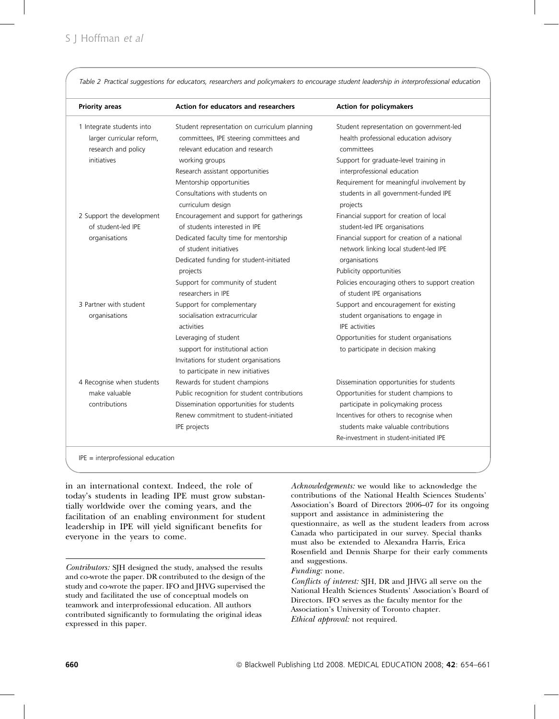| <b>Priority areas</b>                                                                        | <b>Action for educators and researchers</b>                                                                                                                                                                             | <b>Action for policymakers</b>                                                                                                                                                                                                                         |
|----------------------------------------------------------------------------------------------|-------------------------------------------------------------------------------------------------------------------------------------------------------------------------------------------------------------------------|--------------------------------------------------------------------------------------------------------------------------------------------------------------------------------------------------------------------------------------------------------|
| 1 Integrate students into<br>larger curricular reform,<br>research and policy<br>initiatives | Student representation on curriculum planning<br>committees, IPE steering committees and<br>relevant education and research<br>working groups<br>Research assistant opportunities                                       | Student representation on government-led<br>health professional education advisory<br>committees<br>Support for graduate-level training in<br>interprofessional education                                                                              |
|                                                                                              | Mentorship opportunities<br>Consultations with students on<br>curriculum design                                                                                                                                         | Requirement for meaningful involvement by<br>students in all government-funded IPE<br>projects                                                                                                                                                         |
| 2 Support the development<br>of student-led IPE<br>organisations                             | Encouragement and support for gatherings<br>of students interested in IPE<br>Dedicated faculty time for mentorship<br>of student initiatives<br>Dedicated funding for student-initiated                                 | Financial support for creation of local<br>student-led IPE organisations<br>Financial support for creation of a national<br>network linking local student-led IPE<br>organisations                                                                     |
|                                                                                              | projects<br>Support for community of student<br>researchers in IPE                                                                                                                                                      | Publicity opportunities<br>Policies encouraging others to support creation<br>of student IPE organisations                                                                                                                                             |
| 3 Partner with student<br>organisations                                                      | Support for complementary<br>socialisation extracurricular<br>activities<br>Leveraging of student<br>support for institutional action<br>Invitations for student organisations                                          | Support and encouragement for existing<br>student organisations to engage in<br>IPE activities<br>Opportunities for student organisations<br>to participate in decision making                                                                         |
| 4 Recognise when students<br>make valuable<br>contributions                                  | to participate in new initiatives<br>Rewards for student champions<br>Public recognition for student contributions<br>Dissemination opportunities for students<br>Renew commitment to student-initiated<br>IPE projects | Dissemination opportunities for students<br>Opportunities for student champions to<br>participate in policymaking process<br>Incentives for others to recognise when<br>students make valuable contributions<br>Re-investment in student-initiated IPE |

Table 2 Practical suggestions for educators, researchers and policymakers to encourage student leadership in interprofessional education

IPE = interprofessional education

in an international context. Indeed, the role of today's students in leading IPE must grow substantially worldwide over the coming years, and the facilitation of an enabling environment for student leadership in IPE will yield significant benefits for everyone in the years to come.

Contributors: SJH designed the study, analysed the results and co-wrote the paper. DR contributed to the design of the study and co-wrote the paper. IFO and JHVG supervised the study and facilitated the use of conceptual models on teamwork and interprofessional education. All authors contributed significantly to formulating the original ideas expressed in this paper.

Acknowledgements: we would like to acknowledge the contributions of the National Health Sciences Students' Association's Board of Directors 2006–07 for its ongoing support and assistance in administering the questionnaire, as well as the student leaders from across Canada who participated in our survey. Special thanks must also be extended to Alexandra Harris, Erica Rosenfield and Dennis Sharpe for their early comments and suggestions.

#### Funding: none.

Conflicts of interest: SJH, DR and JHVG all serve on the National Health Sciences Students' Association's Board of Directors. IFO serves as the faculty mentor for the Association's University of Toronto chapter. Ethical approval: not required.